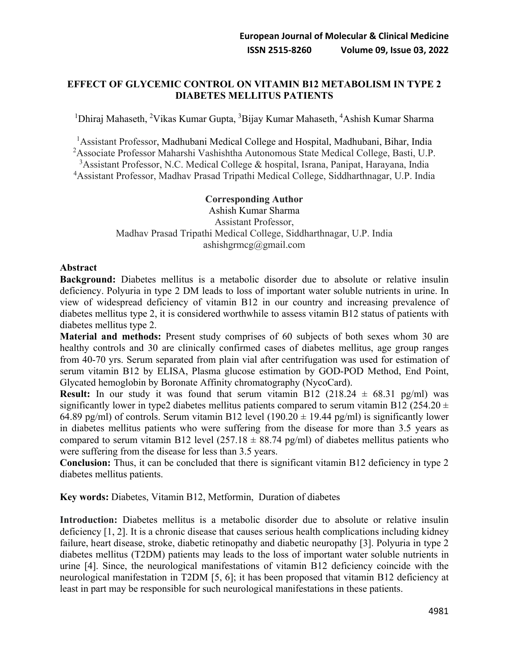## **EFFECT OF GLYCEMIC CONTROL ON VITAMIN B12 METABOLISM IN TYPE 2 DIABETES MELLITUS PATIENTS**

<sup>1</sup>Dhiraj Mahaseth, <sup>2</sup>Vikas Kumar Gupta, <sup>3</sup>Bijay Kumar Mahaseth, <sup>4</sup>Ashish Kumar Sharma

<sup>1</sup> Assistant Professor, Madhubani Medical College and Hospital, Madhubani, Bihar, India

<sup>2</sup> Associate Professor Maharshi Vashishtha Autonomous State Medical College, Basti, U.P.

<sup>3</sup>Assistant Professor, N.C. Medical College & hospital, Israna, Panipat, Harayana, India

4 Assistant Professor, Madhav Prasad Tripathi Medical College, Siddharthnagar, U.P. India

### **Corresponding Author**

Ashish Kumar Sharma Assistant Professor, Madhav Prasad Tripathi Medical College, Siddharthnagar, U.P. India ashishgrmcg@gmail.com

### **Abstract**

**Background:** Diabetes mellitus is a metabolic disorder due to absolute or relative insulin deficiency. Polyuria in type 2 DM leads to loss of important water soluble nutrients in urine. In view of widespread deficiency of vitamin B12 in our country and increasing prevalence of diabetes mellitus type 2, it is considered worthwhile to assess vitamin B12 status of patients with diabetes mellitus type 2.

**Material and methods:** Present study comprises of 60 subjects of both sexes whom 30 are healthy controls and 30 are clinically confirmed cases of diabetes mellitus, age group ranges from 40-70 yrs. Serum separated from plain vial after centrifugation was used for estimation of serum vitamin B12 by ELISA, Plasma glucose estimation by GOD-POD Method, End Point, Glycated hemoglobin by Boronate Affinity chromatography (NycoCard).

**Result:** In our study it was found that serum vitamin B12 (218.24  $\pm$  68.31 pg/ml) was significantly lower in type2 diabetes mellitus patients compared to serum vitamin B12 (254.20  $\pm$ 64.89 pg/ml) of controls. Serum vitamin B12 level (190.20  $\pm$  19.44 pg/ml) is significantly lower in diabetes mellitus patients who were suffering from the disease for more than 3.5 years as compared to serum vitamin B12 level  $(257.18 \pm 88.74 \text{ pg/ml})$  of diabetes mellitus patients who were suffering from the disease for less than 3.5 years.

**Conclusion:** Thus, it can be concluded that there is significant vitamin B12 deficiency in type 2 diabetes mellitus patients.

**Key words:** Diabetes, Vitamin B12, Metformin, Duration of diabetes

**Introduction:** Diabetes mellitus is a metabolic disorder due to absolute or relative insulin deficiency [1, 2]. It is a chronic disease that causes serious health complications including kidney failure, heart disease, stroke, diabetic retinopathy and diabetic neuropathy [3]. Polyuria in type 2 diabetes mellitus (T2DM) patients may leads to the loss of important water soluble nutrients in urine [4]. Since, the neurological manifestations of vitamin B12 deficiency coincide with the neurological manifestation in T2DM [5, 6]; it has been proposed that vitamin B12 deficiency at least in part may be responsible for such neurological manifestations in these patients.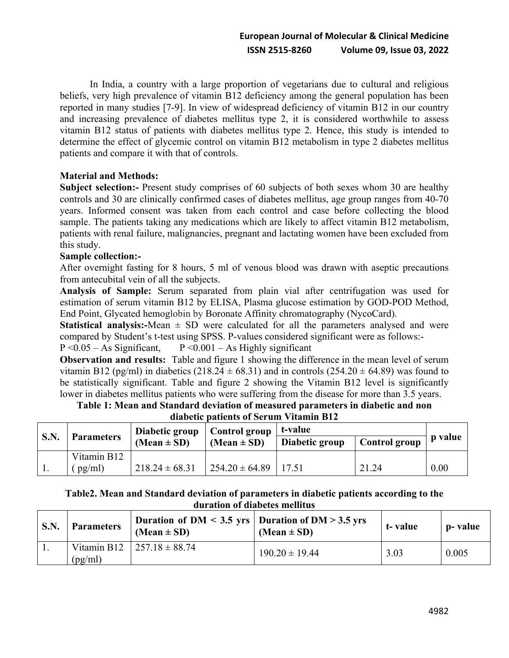In India, a country with a large proportion of vegetarians due to cultural and religious beliefs, very high prevalence of vitamin B12 deficiency among the general population has been reported in many studies [7-9]. In view of widespread deficiency of vitamin B12 in our country and increasing prevalence of diabetes mellitus type 2, it is considered worthwhile to assess vitamin B12 status of patients with diabetes mellitus type 2. Hence, this study is intended to determine the effect of glycemic control on vitamin B12 metabolism in type 2 diabetes mellitus patients and compare it with that of controls.

## **Material and Methods:**

**Subject selection:-** Present study comprises of 60 subjects of both sexes whom 30 are healthy controls and 30 are clinically confirmed cases of diabetes mellitus, age group ranges from 40-70 years. Informed consent was taken from each control and case before collecting the blood sample. The patients taking any medications which are likely to affect vitamin B12 metabolism, patients with renal failure, malignancies, pregnant and lactating women have been excluded from this study.

### **Sample collection:-**

After overnight fasting for 8 hours, 5 ml of venous blood was drawn with aseptic precautions from antecubital vein of all the subjects.

**Analysis of Sample:** Serum separated from plain vial after centrifugation was used for estimation of serum vitamin B12 by ELISA, Plasma glucose estimation by GOD-POD Method, End Point, Glycated hemoglobin by Boronate Affinity chromatography (NycoCard).

**Statistical analysis:-**Mean  $\pm$  SD were calculated for all the parameters analysed and were compared by Student's t-test using SPSS. P-values considered significant were as follows:-

 $P \le 0.05 - As$  Significant,  $P \le 0.001 - As$  Highly significant

**Observation and results:** Table and figure 1 showing the difference in the mean level of serum vitamin B12 (pg/ml) in diabetics (218.24  $\pm$  68.31) and in controls (254.20  $\pm$  64.89) was found to be statistically significant. Table and figure 2 showing the Vitamin B12 level is significantly lower in diabetes mellitus patients who were suffering from the disease for more than 3.5 years.

#### **Table 1: Mean and Standard deviation of measured parameters in diabetic and non diabetic patients of Serum Vitamin B12**

| <b>S.N.</b> | <b>Parameters</b> | Diabetic group<br>$(Mean \pm SD)$ | Control group<br>(Mean $\pm$ SD) | t-value        |               |         |
|-------------|-------------------|-----------------------------------|----------------------------------|----------------|---------------|---------|
|             |                   |                                   |                                  | Diabetic group | Control group | p value |
|             | Vitamin B12       |                                   |                                  |                |               |         |
| . .         | $pp$ pg/ml        | $218.24 \pm 68.31$                | $1254.20 \pm 64.89$              | 17.51          | 21.24         | 0.00    |

## **Table2. Mean and Standard deviation of parameters in diabetic patients according to the duration of diabetes mellitus**

| S.N. | <b>Parameters</b> | Duration of DM < 3.5 yrs   Duration of DM > 3.5 yrs<br>$(Mean \pm SD)$ | $(Mean \pm SD)$    | t-value | p- value |
|------|-------------------|------------------------------------------------------------------------|--------------------|---------|----------|
|      | (pg/ml)           | Vitamin B12   $257.18 \pm 88.74$                                       | $190.20 \pm 19.44$ | 3.03    | 0.005    |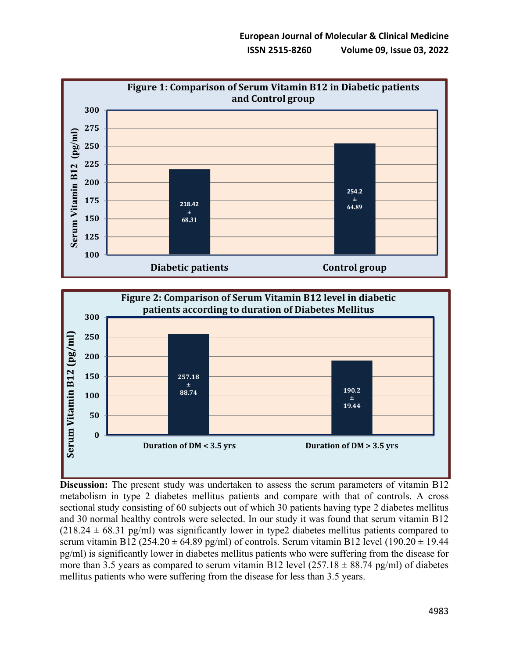



**Discussion:** The present study was undertaken to assess the serum parameters of vitamin B12 metabolism in type 2 diabetes mellitus patients and compare with that of controls. A cross sectional study consisting of 60 subjects out of which 30 patients having type 2 diabetes mellitus and 30 normal healthy controls were selected. In our study it was found that serum vitamin B12  $(218.24 \pm 68.31 \text{ pg/ml})$  was significantly lower in type2 diabetes mellitus patients compared to serum vitamin B12 (254.20  $\pm$  64.89 pg/ml) of controls. Serum vitamin B12 level (190.20  $\pm$  19.44 pg/ml) is significantly lower in diabetes mellitus patients who were suffering from the disease for more than 3.5 years as compared to serum vitamin B12 level  $(257.18 \pm 88.74 \text{ pg/ml})$  of diabetes mellitus patients who were suffering from the disease for less than 3.5 years.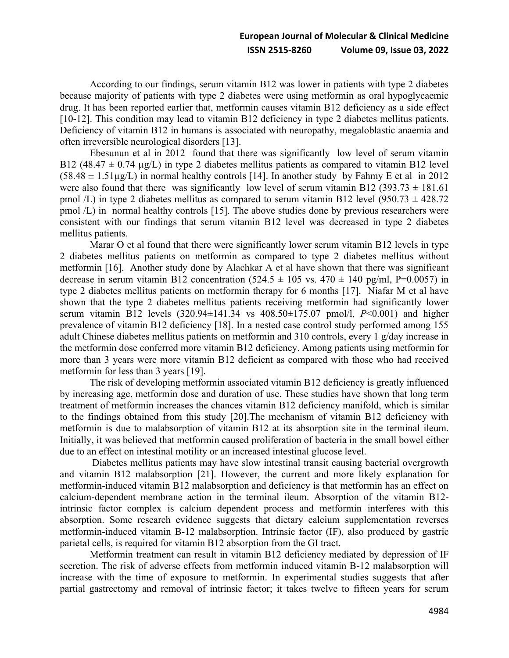According to our findings, serum vitamin B12 was lower in patients with type 2 diabetes because majority of patients with type 2 diabetes were using metformin as oral hypoglycaemic drug. It has been reported earlier that, metformin causes vitamin B12 deficiency as a side effect [10-12]. This condition may lead to vitamin B12 deficiency in type 2 diabetes mellitus patients. Deficiency of vitamin B12 in humans is associated with neuropathy, megaloblastic anaemia and often irreversible neurological disorders [13].

Ebesunun et al in 2012 found that there was significantly low level of serum vitamin B12 (48.47  $\pm$  0.74 µg/L) in type 2 diabetes mellitus patients as compared to vitamin B12 level  $(58.48 \pm 1.51 \mu g/L)$  in normal healthy controls [14]. In another study by Fahmy E et al in 2012 were also found that there was significantly low level of serum vitamin B12 (393.73  $\pm$  181.61) pmol  $\overline{L}$ ) in type 2 diabetes mellitus as compared to serum vitamin B12 level (950.73  $\pm$  428.72 pmol /L) in normal healthy controls [15]. The above studies done by previous researchers were consistent with our findings that serum vitamin B12 level was decreased in type 2 diabetes mellitus patients.

Marar O et al found that there were significantly lower serum vitamin B12 levels in type 2 diabetes mellitus patients on metformin as compared to type 2 diabetes mellitus without metformin [16]. Another study done by Alachkar A et al have shown that there was significant decrease in serum vitamin B12 concentration  $(524.5 \pm 105 \text{ vs. } 470 \pm 140 \text{ pg/ml}, P=0.0057)$  in type 2 diabetes mellitus patients on metformin therapy for 6 months [17]. Niafar M et al have shown that the type 2 diabetes mellitus patients receiving metformin had significantly lower serum vitamin B12 levels (320.94±141.34 vs 408.50±175.07 pmol/l, *P*<0.001) and higher prevalence of vitamin B12 deficiency [18]. In a nested case control study performed among 155 adult Chinese diabetes mellitus patients on metformin and 310 controls, every 1 g/day increase in the metformin dose conferred more vitamin B12 deficiency. Among patients using metformin for more than 3 years were more vitamin B12 deficient as compared with those who had received metformin for less than 3 years [19].

The risk of developing metformin associated vitamin B12 deficiency is greatly influenced by increasing age, metformin dose and duration of use. These studies have shown that long term treatment of metformin increases the chances vitamin B12 deficiency manifold, which is similar to the findings obtained from this study [20].The mechanism of vitamin B12 deficiency with metformin is due to malabsorption of vitamin B12 at its absorption site in the terminal ileum. Initially, it was believed that metformin caused proliferation of bacteria in the small bowel either due to an effect on intestinal motility or an increased intestinal glucose level.

Diabetes mellitus patients may have slow intestinal transit causing bacterial overgrowth and vitamin B12 malabsorption [21]. However, the current and more likely explanation for metformin-induced vitamin B12 malabsorption and deficiency is that metformin has an effect on calcium-dependent membrane action in the terminal ileum. Absorption of the vitamin B12 intrinsic factor complex is calcium dependent process and metformin interferes with this absorption. Some research evidence suggests that dietary calcium supplementation reverses metformin-induced vitamin B-12 malabsorption. Intrinsic factor (IF), also produced by gastric parietal cells, is required for vitamin B12 absorption from the GI tract.

Metformin treatment can result in vitamin B12 deficiency mediated by depression of IF secretion. The risk of adverse effects from metformin induced vitamin B-12 malabsorption will increase with the time of exposure to metformin. In experimental studies suggests that after partial gastrectomy and removal of intrinsic factor; it takes twelve to fifteen years for serum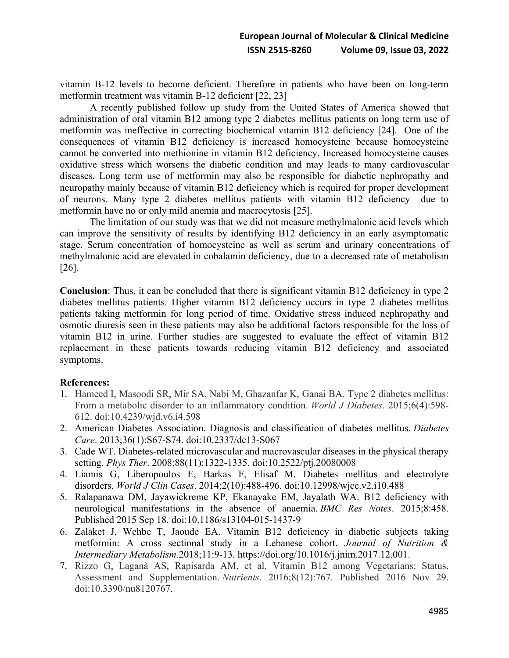vitamin B-12 levels to become deficient. Therefore in patients who have been on long-term metformin treatment was vitamin B-12 deficient [22, 23]

A recently published follow up study from the United States of America showed that administration of oral vitamin B12 among type 2 diabetes mellitus patients on long term use of metformin was ineffective in correcting biochemical vitamin B12 deficiency [24]. One of the consequences of vitamin B12 deficiency is increased homocysteine because homocysteine cannot be converted into methionine in vitamin B12 deficiency. Increased homocysteine causes oxidative stress which worsens the diabetic condition and may leads to many cardiovascular diseases. Long term use of metformin may also be responsible for diabetic nephropathy and neuropathy mainly because of vitamin B12 deficiency which is required for proper development of neurons. Many type 2 diabetes mellitus patients with vitamin B12 deficiency due to metformin have no or only mild anemia and macrocytosis [25].

The limitation of our study was that we did not measure methylmalonic acid levels which can improve the sensitivity of results by identifying B12 deficiency in an early asymptomatic stage. Serum concentration of homocysteine as well as serum and urinary concentrations of methylmalonic acid are elevated in cobalamin deficiency, due to a decreased rate of metabolism [26].

**Conclusion**: Thus, it can be concluded that there is significant vitamin B12 deficiency in type 2 diabetes mellitus patients. Higher vitamin B12 deficiency occurs in type 2 diabetes mellitus patients taking metformin for long period of time. Oxidative stress induced nephropathy and osmotic diuresis seen in these patients may also be additional factors responsible for the loss of vitamin B12 in urine. Further studies are suggested to evaluate the effect of vitamin B12 replacement in these patients towards reducing vitamin B12 deficiency and associated symptoms.

### **References:**

- 1. Hameed I, Masoodi SR, Mir SA, Nabi M, Ghazanfar K, Ganai BA. Type 2 diabetes mellitus: From a metabolic disorder to an inflammatory condition. *World J Diabetes*. 2015;6(4):598- 612. doi:10.4239/wjd.v6.i4.598
- 2. American Diabetes Association. Diagnosis and classification of diabetes mellitus. *Diabetes Care*. 2013;36(1):S67-S74. doi:10.2337/dc13-S067
- 3. Cade WT. Diabetes-related microvascular and macrovascular diseases in the physical therapy setting. *Phys Ther*. 2008;88(11):1322-1335. doi:10.2522/ptj.20080008
- 4. Liamis G, Liberopoulos E, Barkas F, Elisaf M. Diabetes mellitus and electrolyte disorders. *World J Clin Cases*. 2014;2(10):488-496. doi:10.12998/wjcc.v2.i10.488
- 5. Ralapanawa DM, Jayawickreme KP, Ekanayake EM, Jayalath WA. B12 deficiency with neurological manifestations in the absence of anaemia. *BMC Res Notes*. 2015;8:458. Published 2015 Sep 18. doi:10.1186/s13104-015-1437-9
- 6. Zalaket J, Wehbe T, Jaoude EA. Vitamin B12 deficiency in diabetic subjects taking metformin: A cross sectional study in a Lebanese cohort. *Journal of Nutrition & Intermediary Metabolism.*2018;11:9-13. https://doi.org/10.1016/j.jnim.2017.12.001.
- 7. Rizzo G, Laganà AS, Rapisarda AM, et al. Vitamin B12 among Vegetarians: Status, Assessment and Supplementation. *Nutrients*. 2016;8(12):767. Published 2016 Nov 29. doi:10.3390/nu8120767.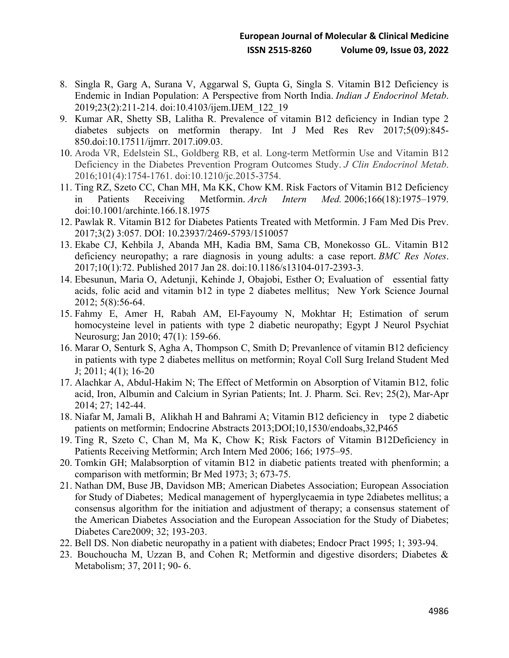- 8. Singla R, Garg A, Surana V, Aggarwal S, Gupta G, Singla S. Vitamin B12 Deficiency is Endemic in Indian Population: A Perspective from North India. *Indian J Endocrinol Metab*. 2019;23(2):211-214. doi:10.4103/ijem.IJEM\_122\_19
- 9. Kumar AR, Shetty SB, Lalitha R. Prevalence of vitamin B12 deficiency in Indian type 2 diabetes subjects on metformin therapy. Int J Med Res Rev 2017;5(09):845- 850.doi:10.17511/ijmrr. 2017.i09.03.
- 10. Aroda VR, Edelstein SL, Goldberg RB, et al. Long-term Metformin Use and Vitamin B12 Deficiency in the Diabetes Prevention Program Outcomes Study. *J Clin Endocrinol Metab*. 2016;101(4):1754-1761. doi:10.1210/jc.2015-3754.
- 11. Ting RZ, Szeto CC, Chan MH, Ma KK, Chow KM. Risk Factors of Vitamin B12 Deficiency in Patients Receiving Metformin. *Arch Intern Med.* 2006;166(18):1975–1979. doi:10.1001/archinte.166.18.1975
- 12. Pawlak R. Vitamin B12 for Diabetes Patients Treated with Metformin. J Fam Med Dis Prev. 2017;3(2) 3:057. DOI: 10.23937/2469-5793/1510057
- 13. Ekabe CJ, Kehbila J, Abanda MH, Kadia BM, Sama CB, Monekosso GL. Vitamin B12 deficiency neuropathy; a rare diagnosis in young adults: a case report. *BMC Res Notes*. 2017;10(1):72. Published 2017 Jan 28. doi:10.1186/s13104-017-2393-3.
- 14. Ebesunun, Maria O, Adetunji, Kehinde J, Obajobi, Esther O; Evaluation of essential fatty acids, folic acid and vitamin b12 in type 2 diabetes mellitus; New York Science Journal 2012; 5(8):56-64.
- 15. Fahmy E, Amer H, Rabah AM, El-Fayoumy N, Mokhtar H; Estimation of serum homocysteine level in patients with type 2 diabetic neuropathy; Egypt J Neurol Psychiat Neurosurg; Jan 2010; 47(1): 159-66.
- 16. Marar O, Senturk S, Agha A, Thompson C, Smith D; Prevanlence of vitamin B12 deficiency in patients with type 2 diabetes mellitus on metformin; Royal Coll Surg Ireland Student Med J; 2011; 4(1); 16-20
- 17. Alachkar A, Abdul-Hakim N; The Effect of Metformin on Absorption of Vitamin B12, folic acid, Iron, Albumin and Calcium in Syrian Patients; Int. J. Pharm. Sci. Rev; 25(2), Mar-Apr 2014; 27; 142-44.
- 18. Niafar M, Jamali B, Alikhah H and Bahrami A; Vitamin B12 deficiency in type 2 diabetic patients on metformin; Endocrine Abstracts 2013;DOI;10,1530/endoabs,32,P465
- 19. Ting R, Szeto C, Chan M, Ma K, Chow K; Risk Factors of Vitamin B12Deficiency in Patients Receiving Metformin; Arch Intern Med 2006; 166; 1975–95.
- 20. Tomkin GH; Malabsorption of vitamin B12 in diabetic patients treated with phenformin; a comparison with metformin; Br Med 1973; 3; 673-75.
- 21. Nathan DM, Buse JB, Davidson MB; American Diabetes Association; European Association for Study of Diabetes; Medical management of hyperglycaemia in type 2diabetes mellitus; a consensus algorithm for the initiation and adjustment of therapy; a consensus statement of the American Diabetes Association and the European Association for the Study of Diabetes; Diabetes Care2009; 32; 193-203.
- 22. Bell DS. Non diabetic neuropathy in a patient with diabetes; Endocr Pract 1995; 1; 393-94.
- 23. Bouchoucha M, Uzzan B, and Cohen R; Metformin and digestive disorders; Diabetes & Metabolism; 37, 2011; 90- 6.